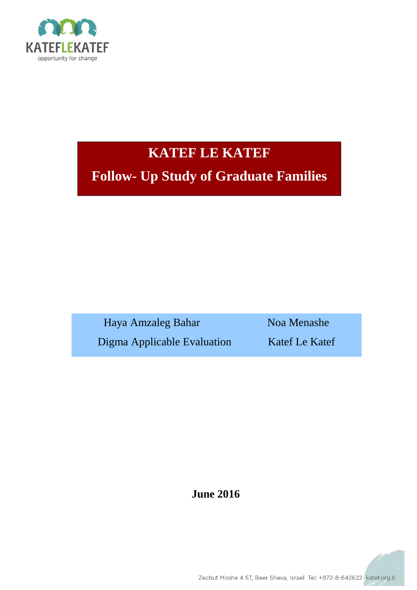

# **KATEF LE KATEF**

**Follow- Up Study of Graduate Families**

Haya Amzaleg Bahar Noa Menashe Digma Applicable Evaluation Katef Le Katef

**June 2016**

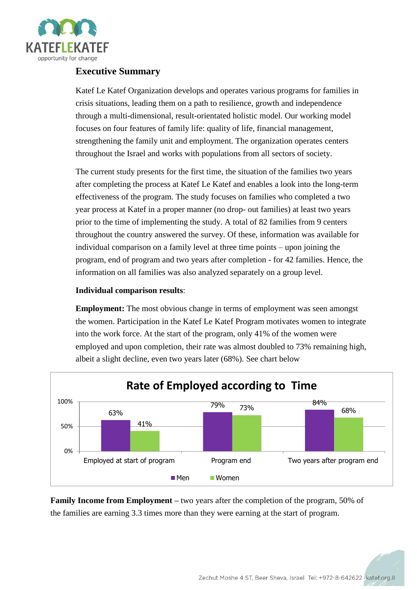

# **Executive Summary**

Katef Le Katef Organization develops and operates various programs for families in crisis situations, leading them on a path to resilience, growth and independence through a multi-dimensional, result-orientated holistic model. Our working model focuses on four features of family life: quality of life, financial management, strengthening the family unit and employment. The organization operates centers throughout the Israel and works with populations from all sectors of society.

The current study presents for the first time, the situation of the families two years after completing the process at Katef Le Katef and enables a look into the long-term effectiveness of the program. The study focuses on families who completed a two year process at Katef in a proper manner (no drop- out families) at least two years prior to the time of implementing the study. A total of 82 families from 9 centers throughout the country answered the survey. Of these, information was available for individual comparison on a family level at three time points – upon joining the program, end of program and two years after completion - for 42 families. Hence, the information on all families was also analyzed separately on a group level.

## **Individual comparison results**:

**Employment:** The most obvious change in terms of employment was seen amongst the women. Participation in the Katef Le Katef Program motivates women to integrate into the work force. At the start of the program, only 41% of the women were employed and upon completion, their rate was almost doubled to 73% remaining high, albeit a slight decline, even two years later (68%). See chart below



**Family Income from Employment –** two years after the completion of the program, 50% of the families are earning 3.3 times more than they were earning at the start of program.

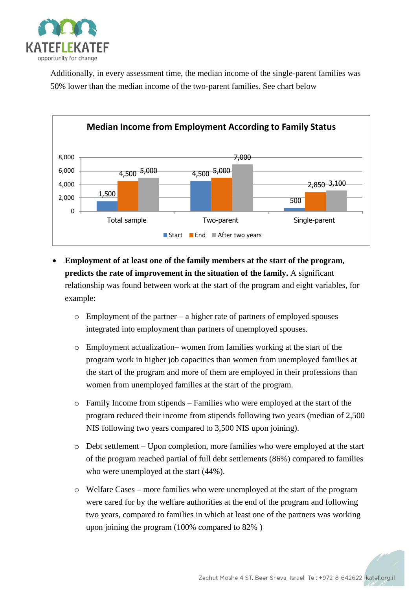

Additionally, in every assessment time, the median income of the single-parent families was 50% lower than the median income of the two-parent families. See chart below



- **Employment of at least one of the family members at the start of the program, predicts the rate of improvement in the situation of the family.** A significant relationship was found between work at the start of the program and eight variables, for example:
	- $\circ$  Employment of the partner a higher rate of partners of employed spouses integrated into employment than partners of unemployed spouses.
	- o Employment actualization– women from families working at the start of the program work in higher job capacities than women from unemployed families at the start of the program and more of them are employed in their professions than women from unemployed families at the start of the program.
	- $\circ$  Family Income from stipends Families who were employed at the start of the program reduced their income from stipends following two years (median of 2,500 NIS following two years compared to 3,500 NIS upon joining).
	- o Debt settlement Upon completion, more families who were employed at the start of the program reached partial of full debt settlements (86%) compared to families who were unemployed at the start (44%).
	- o Welfare Cases more families who were unemployed at the start of the program were cared for by the welfare authorities at the end of the program and following two years, compared to families in which at least one of the partners was working upon joining the program (100% compared to 82% )

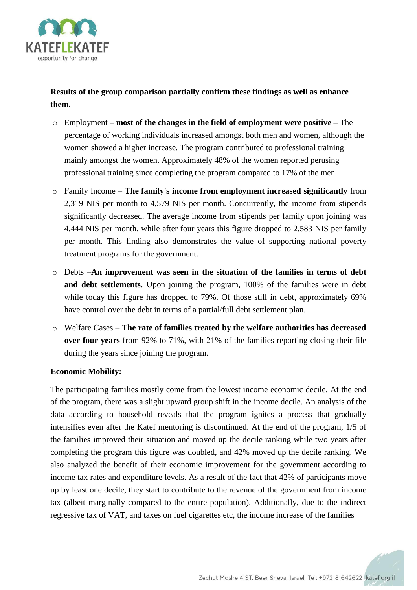

**Results of the group comparison partially confirm these findings as well as enhance them.**

- o Employment **most of the changes in the field of employment were positive** The percentage of working individuals increased amongst both men and women, although the women showed a higher increase. The program contributed to professional training mainly amongst the women. Approximately 48% of the women reported perusing professional training since completing the program compared to 17% of the men.
- o Family Income **The family's income from employment increased significantly** from 2,319 NIS per month to 4,579 NIS per month. Concurrently, the income from stipends significantly decreased. The average income from stipends per family upon joining was 4,444 NIS per month, while after four years this figure dropped to 2,583 NIS per family per month. This finding also demonstrates the value of supporting national poverty treatment programs for the government.
- o Debts –**An improvement was seen in the situation of the families in terms of debt and debt settlements**. Upon joining the program, 100% of the families were in debt while today this figure has dropped to 79%. Of those still in debt, approximately 69% have control over the debt in terms of a partial/full debt settlement plan.
- o Welfare Cases **The rate of families treated by the welfare authorities has decreased over four years** from 92% to 71%, with 21% of the families reporting closing their file during the years since joining the program.

#### **Economic Mobility:**

The participating families mostly come from the lowest income economic decile. At the end of the program, there was a slight upward group shift in the income decile. An analysis of the data according to household reveals that the program ignites a process that gradually intensifies even after the Katef mentoring is discontinued. At the end of the program, 1/5 of the families improved their situation and moved up the decile ranking while two years after completing the program this figure was doubled, and 42% moved up the decile ranking. We also analyzed the benefit of their economic improvement for the government according to income tax rates and expenditure levels. As a result of the fact that 42% of participants move up by least one decile, they start to contribute to the revenue of the government from income tax (albeit marginally compared to the entire population). Additionally, due to the indirect regressive tax of VAT, and taxes on fuel cigarettes etc, the income increase of the families